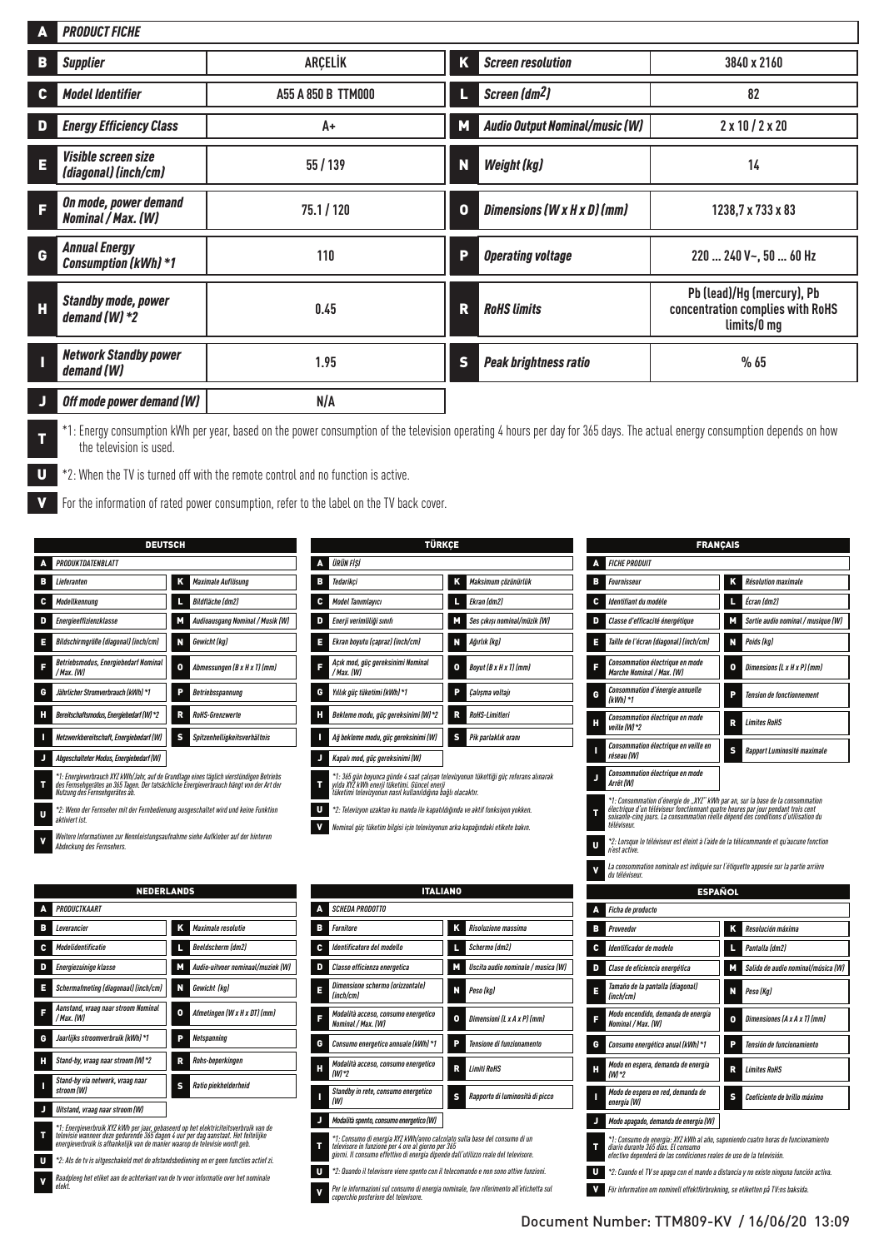| A  | <b>PRODUCT FICHE</b>                                |                    |   |                                       |                                                                               |
|----|-----------------------------------------------------|--------------------|---|---------------------------------------|-------------------------------------------------------------------------------|
| в  | <b>Supplier</b>                                     | <b>ARCELIK</b>     | Κ | <b>Screen resolution</b>              | 3840 x 2160                                                                   |
| C. | <b>Model Identifier</b>                             | A55 A 850 B TTM000 |   | Screen (dm <sup>2</sup> )             | 82                                                                            |
| D  | <b>Energy Efficiency Class</b>                      | A+                 | M | <b>Audio Output Nominal/music (W)</b> | $2 \times 10 / 2 \times 20$                                                   |
| E  | <b>Visible screen size</b><br>(diagonal) (inch/cm)  | 55 / 139           | N | <b>Weight (kg)</b>                    | 14                                                                            |
| F  | On mode, power demand<br><b>Nominal / Max. (W)</b>  | 75.1 / 120         | 0 | Dimensions (W x H x D) (mm)           | 1238, 7 x 733 x 83                                                            |
| G  | <b>Annual Energy</b><br><b>Consumption (kWh) *1</b> | 110                | P | <b>Operating voltage</b>              | 220  240 V~, 50  60 Hz                                                        |
| Н  | <b>Standby mode, power</b><br>demand $(W) *2$       | 0.45               | R | <b>RoHS limits</b>                    | Pb (lead)/Hg (mercury), Pb<br>concentration complies with RoHS<br>limits/0 mg |
|    | <b>Network Standby power</b><br>demand (W)          | 1.95               | S | <b>Peak brightness ratio</b>          | %65                                                                           |
|    | Off mode power demand (W)                           | N/A                |   |                                       |                                                                               |

<sup>\*1:</sup> Energy consumption kWh per year, based on the power consumption of the television operating 4 hours per day for 365 days. The actual energy consumption depends on how the television is used.

U \*2: When the TV is turned off with the remote control and no function is active.

For the information of rated power consumption, refer to the label on the TV back cover.

| <b>DEUTSCH</b>                                          |                                                                                                                                                                                      |
|---------------------------------------------------------|--------------------------------------------------------------------------------------------------------------------------------------------------------------------------------------|
| PRODUKTDATENBLATT                                       |                                                                                                                                                                                      |
| Lieferanten                                             | Κ                                                                                                                                                                                    |
| в                                                       | Maximale Auflösung                                                                                                                                                                   |
| Modellkennung                                           | L                                                                                                                                                                                    |
| c                                                       | <b>Bildfläche (dm2)</b>                                                                                                                                                              |
| D                                                       | М                                                                                                                                                                                    |
| Energieeffizienzklasse                                  | Audioausgang Nominal / Musik (W)                                                                                                                                                     |
| Bildschirmgröße (diagonal) (inch/cm)                    | N                                                                                                                                                                                    |
| E                                                       | Gewicht (kg)                                                                                                                                                                         |
| Betriebsmodus, Energiebedarf Nominal<br>Е<br>/ Max. (W) | ٥<br>Abmessungen (B x H x T) (mm)                                                                                                                                                    |
| Jährlicher Stromverbrauch (kWh) *1                      | P                                                                                                                                                                                    |
| G                                                       | <b>Betriebsspannung</b>                                                                                                                                                              |
| Н                                                       | R                                                                                                                                                                                    |
| Bereitschaftsmodus, Energiebedarf (W) *2                | <b>RoHS-Grenzwerte</b>                                                                                                                                                               |
| Π                                                       | s                                                                                                                                                                                    |
| Netzwerkbereitschaft, Energiebedarf (W)                 | Spitzenhelligkeitsverhältnis                                                                                                                                                         |
| Abgeschalteter Modus, Energiebedarf (W)<br>J            |                                                                                                                                                                                      |
| т<br>Nutzung des Fernsehgerätes ab.                     | *1: Energieverbrauch XYZ kWh/Jahr, auf de Grundlage eines täglich vierstündigen Betriebs<br>des Fernsehgerätes an 365 Tagen. Der tatsächliche Energieverbrauch hängt von der Art der |

<sup>U</sup> *\*2: Wenn der Fernseher mit der Fernbedienung ausgeschaltet wird und keine Funktion aktiviert ist.*

| Weitere Informationen zur Nennleistungsaufnahme siehe Aufkleber auf der hinteren |
|----------------------------------------------------------------------------------|
| Abdeckung des Fernsehers.                                                        |

|                                | <b>NEDERLANDS</b>                                                           |   |                                                                                                                                                                           |
|--------------------------------|-----------------------------------------------------------------------------|---|---------------------------------------------------------------------------------------------------------------------------------------------------------------------------|
| <b>PRODUCTKAART</b><br>Δ       |                                                                             |   |                                                                                                                                                                           |
| в<br>Leverancier               |                                                                             | Κ | <b>Maximale resolutie</b>                                                                                                                                                 |
| <b>Modelidentificatie</b><br>c |                                                                             | L | <b>Beeldscherm (dm2)</b>                                                                                                                                                  |
| D<br>Energiezuinige klasse     |                                                                             | М | Audio-uitvoer nominaal/muziek (W)                                                                                                                                         |
| E                              | Schermafmeting (diagonaal) (inch/cm)                                        | N | Gewicht (kg)                                                                                                                                                              |
| / Max. (W)                     | Aanstand, vraag naar stroom Nominal                                         | ٥ | Afmetingen (W x H x DT) (mm)                                                                                                                                              |
| G                              | Jaarlijks stroomverbruik (kWh) *1                                           | P | <b>Netspanning</b>                                                                                                                                                        |
| Н                              | Stand-by, vraag naar stroom (W)*2                                           | R | Rohs-beperkingen                                                                                                                                                          |
| ı<br>stroom (W)                | Stand-by via netwerk, vraag naar                                            | s | Ratio piekhelderheid                                                                                                                                                      |
| J                              | Uitstand. vraag naar stroom (W)                                             |   |                                                                                                                                                                           |
| т                              | energieverbruik is afhankelijk van de manier waarop de televisie wordt geb. |   | *1: Energieverbruik XYZ kWh per jaar, gebaseerd op het elektriciteitsverbruik van de<br>televisie wanneer deze gedurende 365 dagen 4 uur per dag aanstaat. Het feitelijke |
| U                              |                                                                             |   | *2: Als de tv is uitgeschakeld met de afstandsbediening en er geen functies actief zi.                                                                                    |
| olokt                          |                                                                             |   | Raadpleeg het etiket aan de achterkant van de tv voor informatie over het nominale                                                                                        |

*elekt.*

|   | <b>TÜRKCE</b>                                                                                                                                                                                         |   |                              |
|---|-------------------------------------------------------------------------------------------------------------------------------------------------------------------------------------------------------|---|------------------------------|
| Α | ÜRÜN FİSİ                                                                                                                                                                                             |   |                              |
| в | Tedarikci                                                                                                                                                                                             | Κ | Maksimum çözünürlük          |
| c | <b>Model Tanımlavıcı</b>                                                                                                                                                                              | L | Ekran (dm2)                  |
| D | Enerii verimliliăi sınıfı                                                                                                                                                                             | М | Ses cıkısı nominal/müzik (W) |
| Е | Ekran boyutu (capraz) (inch/cm)                                                                                                                                                                       | N | Ağırlık (kg)                 |
| F | Acık mod, güc gereksinimi Nominal<br>/ Max. (W)                                                                                                                                                       | 0 | Boyut (B x H x T) (mm)       |
| G | Yıllık aüc tüketimi (kWh) *1                                                                                                                                                                          | P | Calısma voltaiı              |
| н | Bekleme modu, güç gereksinimi (W)*2                                                                                                                                                                   | R | <b>RoHS-Limitleri</b>        |
| П | Ağ bekleme modu, güc gereksinimi (W)                                                                                                                                                                  | s | Pik parlaklık oranı          |
| J | Kapalı mod, güc gereksinimi (W)                                                                                                                                                                       |   |                              |
| т | *1: 365 gün boyunca günde 4 saat calışan televizyonun tükettiği güc referans alınarak<br>yılda XYZ kWh enerji tüketimi. Güncel enerji<br>tüketimi televizyon'un nasıl kullanıldığına bağlı olacaktır. |   |                              |
| U | *2: Televizyon uzaktan ku manda ile kapatıldığında ve aktif fonksiyon yokken.                                                                                                                         |   |                              |
| ٧ | Nominal güç tüketim bilgisi için televizyonun arka kapağındaki etikete bakın.                                                                                                                         |   |                              |

|   | <b>ITALIANO</b>                                                                                                                                                                                                         |   |                                    |
|---|-------------------------------------------------------------------------------------------------------------------------------------------------------------------------------------------------------------------------|---|------------------------------------|
|   | <b>SCHEDA PRODOTTO</b>                                                                                                                                                                                                  |   |                                    |
| в | <b>Fornitore</b>                                                                                                                                                                                                        | Κ | <b>Risoluzione massima</b>         |
| c | Identificatore del modello                                                                                                                                                                                              | Π | Schermo (dm2)                      |
| D | Classe efficienza energetica                                                                                                                                                                                            | Ľ | Uscita audio nominale / musica (W) |
| Е | Dimensione schermo (orizzontale)<br>(inch/cm)                                                                                                                                                                           | N | Peso (kg)                          |
|   | Modalità acceso, consumo energetico<br>Nominal / Max. (W)                                                                                                                                                               | o | Dimensioni (L x A x P) (mm)        |
| G | Consumo energetico annuale (kWh) *1                                                                                                                                                                                     | P | Tensione di funzionamento          |
| н | Modalità acceso, consumo energetico<br>/WI*2                                                                                                                                                                            | R | <b>Limiti RoHS</b>                 |
|   | Standby in rete, consumo energetico<br>(W)                                                                                                                                                                              | s | Rapporto di luminosità di picco    |
|   | Modalità spento, consumo energetico (W)                                                                                                                                                                                 |   |                                    |
| т | *1: Consumo di energia XYZ kWh/anno calcolato sulla base del consumo di un<br>televisore in funzione per 4 ore al giorno per 365<br>giorni. Il consumo effettivo di energia dipende dall'utilizzo reale del televisore. |   |                                    |
| U | *2: Quando il televisore viene spento con il telecomando e non sono attive funzioni.                                                                                                                                    |   |                                    |
| ٧ | Per le informazioni sul consumo di energia nominale, fare riferimento all'etichetta sul<br>coperchio posteriore del televisore.                                                                                         |   |                                    |